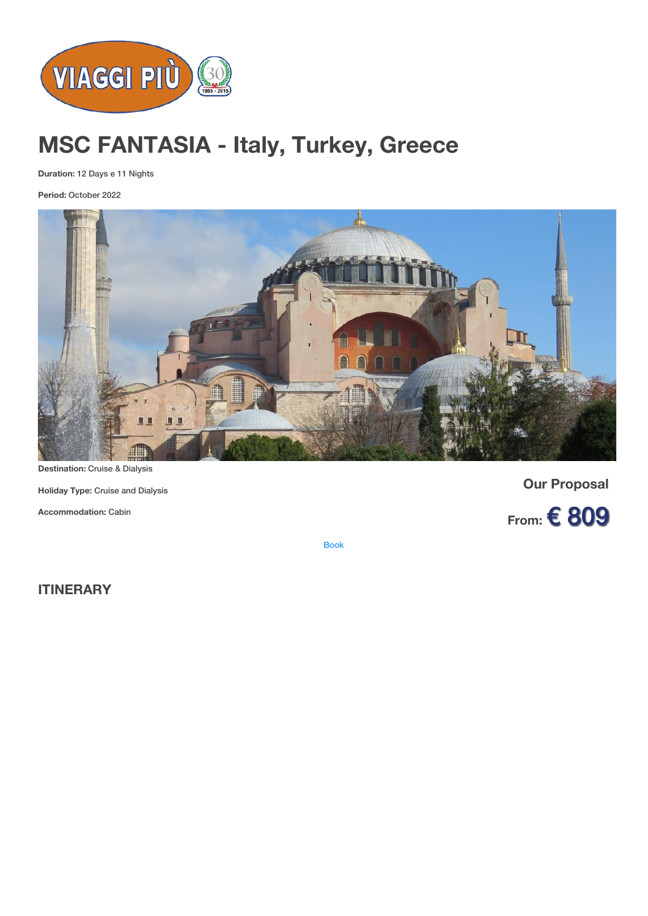

# **MSC FANTASIA - Italy, Turkey, Greece**

**Duration:** 12 Days e 11 Nights

**Period:** October 2022



**Destination:** Cruise & Dialysis

**Holiday Type:** Cruise and Dialysis

**Accommodation:** Cabin

**Our Proposal**



[Book](https://viaggipiu.eu/index.php?option=com_offerte&view=info&id=2012&modello=offerta)

**ITINERARY**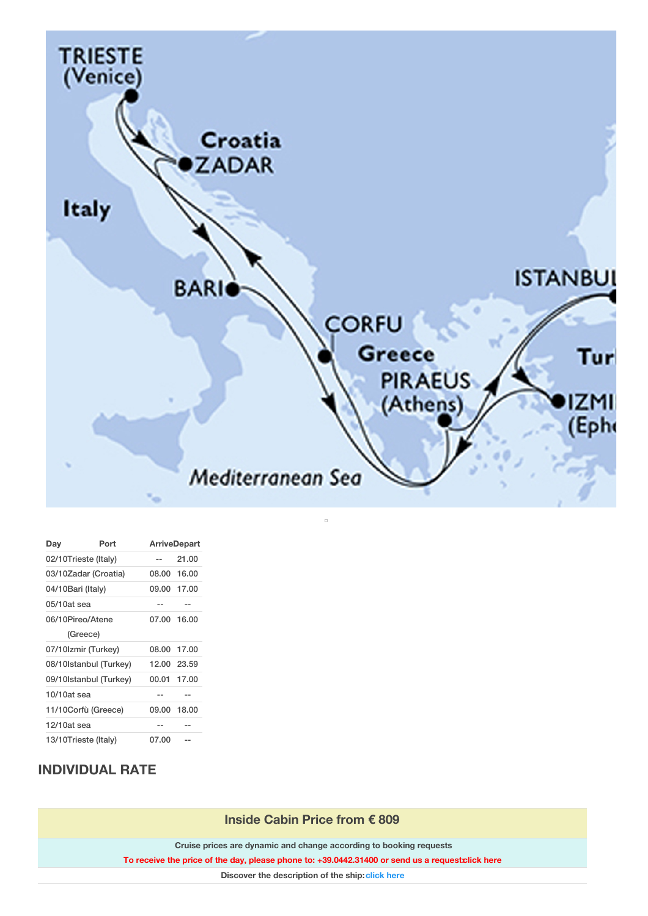

| Day                    | Port     |       | <b>ArriveDepart</b> |  |
|------------------------|----------|-------|---------------------|--|
| 02/10Trieste (Italy)   |          | --    | 21.00               |  |
| 03/10Zadar (Croatia)   |          |       | 08.00 16.00         |  |
| 04/10Bari (Italy)      |          | 09.00 | 17.00               |  |
| $05/10at$ sea          |          | --    | --                  |  |
| 06/10Pireo/Atene       |          |       | 07.00 16.00         |  |
|                        | (Greece) |       |                     |  |
| 07/10Izmir (Turkey)    |          |       | 08.00 17.00         |  |
| 08/10Istanbul (Turkey) |          |       | 12.00 23.59         |  |
| 09/10Istanbul (Turkey) |          | 00.01 | 17.00               |  |
| 10/10at sea            |          |       |                     |  |
| 11/10Corfù (Greece)    |          |       | 09.00 18.00         |  |
| 12/10at sea            |          | --    | --                  |  |
| 13/10Trieste (Italy)   |          | 07.00 |                     |  |

## **INDIVIDUAL RATE**

**Inside Cabin Price from € 809**

**Cruise prices are dynamic and change according to booking requests**

**To receive the price of the day, please phone to: +39.0442.31400 or send us a request[:click](#richiesta_info) here**

**Discover the description of the ship:[click](https://www.msccruisesusa.com/en-us/Discover-MSC/Cruise-Ships/MSC-Orchestra.aspx) here**